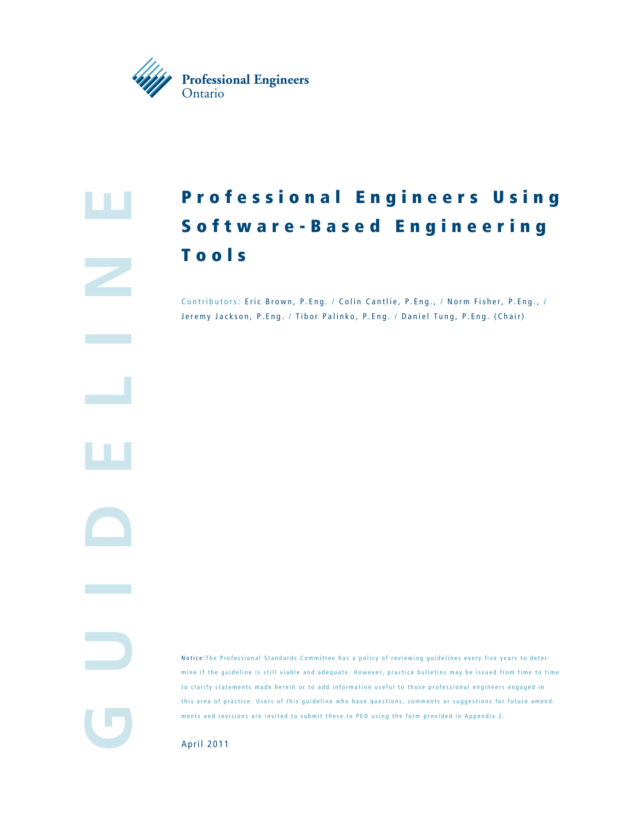

**e**

**GuidElin**

ш

# Professional Engineers Using S o f t w a r e - B a s e d E n g i n e e r i n g Tools

Contributors: Eric Brown, P.Eng. / Colin Cantlie, P.Eng., / Norm Fisher, P.Eng., / Jeremy Jackson, P.Eng. / Tibor Palinko, P.Eng. / Daniel Tung, P.Eng. (Chair)

Notice: The Professional Standards Committee has a policy of reviewing guidelines every five years to deter mine if the guideline is still viable and adequate. However, practice bulletins may be issued from time to time to clarify statements made herein or to add information useful to those professional engineers engaged in this area of practice. Users of this guideline who have questions, comments or suggestions for future amend ments and revisions are invited to submit these to PEO using the form provided in Appendix 2.

April 2011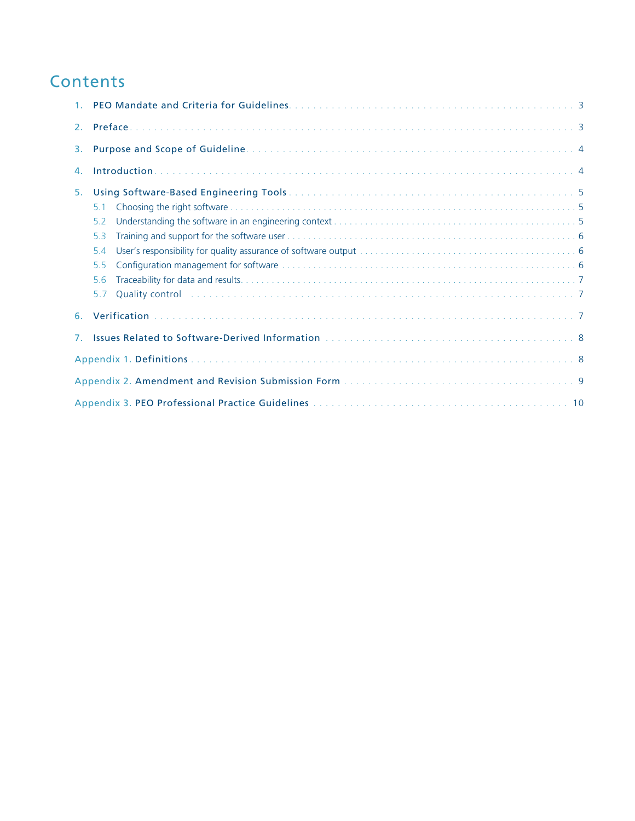## **Contents**

| 1 <sup>1</sup> |                                                                                                                                                                                                                                       |  |  |  |  |
|----------------|---------------------------------------------------------------------------------------------------------------------------------------------------------------------------------------------------------------------------------------|--|--|--|--|
| 2 <sup>1</sup> |                                                                                                                                                                                                                                       |  |  |  |  |
| 3.             |                                                                                                                                                                                                                                       |  |  |  |  |
| 4.             |                                                                                                                                                                                                                                       |  |  |  |  |
| 5.             |                                                                                                                                                                                                                                       |  |  |  |  |
|                | 5.1                                                                                                                                                                                                                                   |  |  |  |  |
|                | 5.2                                                                                                                                                                                                                                   |  |  |  |  |
|                | 5.3                                                                                                                                                                                                                                   |  |  |  |  |
|                | 5.4                                                                                                                                                                                                                                   |  |  |  |  |
|                | 5.5                                                                                                                                                                                                                                   |  |  |  |  |
|                | 5.6                                                                                                                                                                                                                                   |  |  |  |  |
|                | Quality control in the control of the control of the control of the control of the control of the control of the control of the control of the control of the control of the control of the control of the control of the cont<br>5.7 |  |  |  |  |
| 6.             |                                                                                                                                                                                                                                       |  |  |  |  |
| $7_{\odot}$    |                                                                                                                                                                                                                                       |  |  |  |  |
|                |                                                                                                                                                                                                                                       |  |  |  |  |
|                |                                                                                                                                                                                                                                       |  |  |  |  |
|                |                                                                                                                                                                                                                                       |  |  |  |  |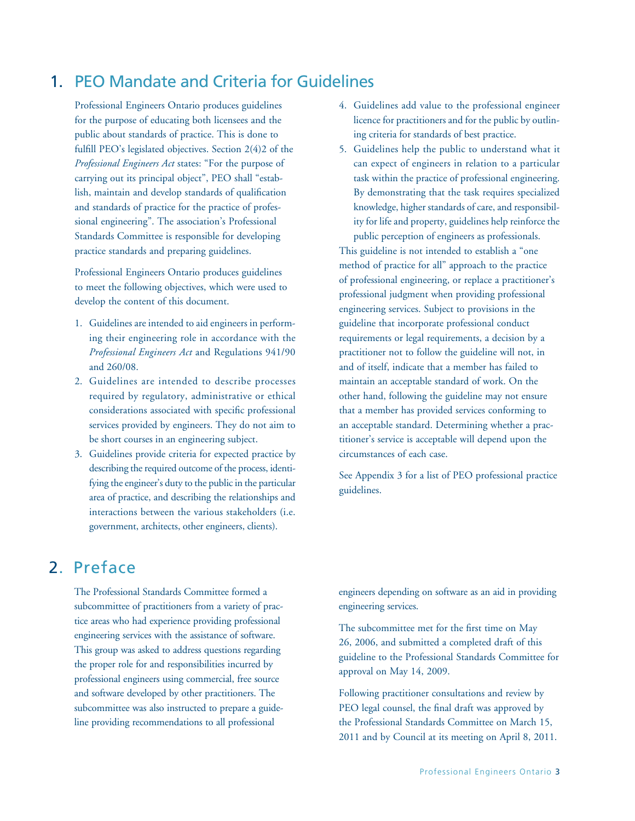### 1. PEO Mandate and Criteria for Guidelines

Professional Engineers Ontario produces guidelines for the purpose of educating both licensees and the public about standards of practice. This is done to fulfill PEO's legislated objectives. Section 2(4)2 of the *Professional Engineers Act* states: "For the purpose of carrying out its principal object", PEO shall "establish, maintain and develop standards of qualification and standards of practice for the practice of professional engineering". The association's Professional Standards Committee is responsible for developing practice standards and preparing guidelines.

Professional Engineers Ontario produces guidelines to meet the following objectives, which were used to develop the content of this document.

- 1. Guidelines are intended to aid engineers in performing their engineering role in accordance with the *Professional Engineers Act* and Regulations 941/90 and 260/08.
- 2. Guidelines are intended to describe processes required by regulatory, administrative or ethical considerations associated with specific professional services provided by engineers. They do not aim to be short courses in an engineering subject.
- 3. Guidelines provide criteria for expected practice by describing the required outcome of the process, identifying the engineer's duty to the public in the particular area of practice, and describing the relationships and interactions between the various stakeholders (i.e. government, architects, other engineers, clients).
- 4. Guidelines add value to the professional engineer licence for practitioners and for the public by outlining criteria for standards of best practice.
- 5. Guidelines help the public to understand what it can expect of engineers in relation to a particular task within the practice of professional engineering. By demonstrating that the task requires specialized knowledge, higher standards of care, and responsibility for life and property, guidelines help reinforce the public perception of engineers as professionals.

This guideline is not intended to establish a "one method of practice for all" approach to the practice of professional engineering, or replace a practitioner's professional judgment when providing professional engineering services. Subject to provisions in the guideline that incorporate professional conduct requirements or legal requirements, a decision by a practitioner not to follow the guideline will not, in and of itself, indicate that a member has failed to maintain an acceptable standard of work. On the other hand, following the guideline may not ensure that a member has provided services conforming to an acceptable standard. Determining whether a practitioner's service is acceptable will depend upon the circumstances of each case.

See Appendix 3 for a list of PEO professional practice guidelines.

## 2. Preface

The Professional Standards Committee formed a subcommittee of practitioners from a variety of practice areas who had experience providing professional engineering services with the assistance of software. This group was asked to address questions regarding the proper role for and responsibilities incurred by professional engineers using commercial, free source and software developed by other practitioners. The subcommittee was also instructed to prepare a guideline providing recommendations to all professional

engineers depending on software as an aid in providing engineering services.

The subcommittee met for the first time on May 26, 2006, and submitted a completed draft of this guideline to the Professional Standards Committee for approval on May 14, 2009.

Following practitioner consultations and review by PEO legal counsel, the final draft was approved by the Professional Standards Committee on March 15, 2011 and by Council at its meeting on April 8, 2011.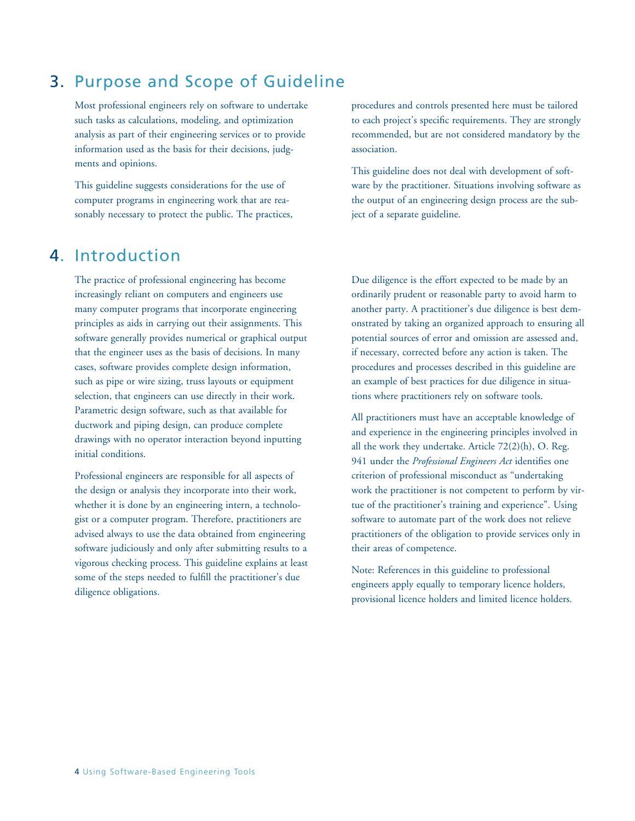## 3. Purpose and Scope of Guideline

Most professional engineers rely on software to undertake such tasks as calculations, modeling, and optimization analysis as part of their engineering services or to provide information used as the basis for their decisions, judgments and opinions.

This guideline suggests considerations for the use of computer programs in engineering work that are reasonably necessary to protect the public. The practices,

### 4. Introduction

The practice of professional engineering has become increasingly reliant on computers and engineers use many computer programs that incorporate engineering principles as aids in carrying out their assignments. This software generally provides numerical or graphical output that the engineer uses as the basis of decisions. In many cases, software provides complete design information, such as pipe or wire sizing, truss layouts or equipment selection, that engineers can use directly in their work. Parametric design software, such as that available for ductwork and piping design, can produce complete drawings with no operator interaction beyond inputting initial conditions.

Professional engineers are responsible for all aspects of the design or analysis they incorporate into their work, whether it is done by an engineering intern, a technologist or a computer program. Therefore, practitioners are advised always to use the data obtained from engineering software judiciously and only after submitting results to a vigorous checking process. This guideline explains at least some of the steps needed to fulfill the practitioner's due diligence obligations.

procedures and controls presented here must be tailored to each project's specific requirements. They are strongly recommended, but are not considered mandatory by the association.

This guideline does not deal with development of software by the practitioner. Situations involving software as the output of an engineering design process are the subject of a separate guideline.

Due diligence is the effort expected to be made by an ordinarily prudent or reasonable party to avoid harm to another party. A practitioner's due diligence is best demonstrated by taking an organized approach to ensuring all potential sources of error and omission are assessed and, if necessary, corrected before any action is taken. The procedures and processes described in this guideline are an example of best practices for due diligence in situations where practitioners rely on software tools.

All practitioners must have an acceptable knowledge of and experience in the engineering principles involved in all the work they undertake. Article 72(2)(h), O. Reg. 941 under the *Professional Engineers Act* identifies one criterion of professional misconduct as "undertaking work the practitioner is not competent to perform by virtue of the practitioner's training and experience". Using software to automate part of the work does not relieve practitioners of the obligation to provide services only in their areas of competence.

Note: References in this guideline to professional engineers apply equally to temporary licence holders, provisional licence holders and limited licence holders.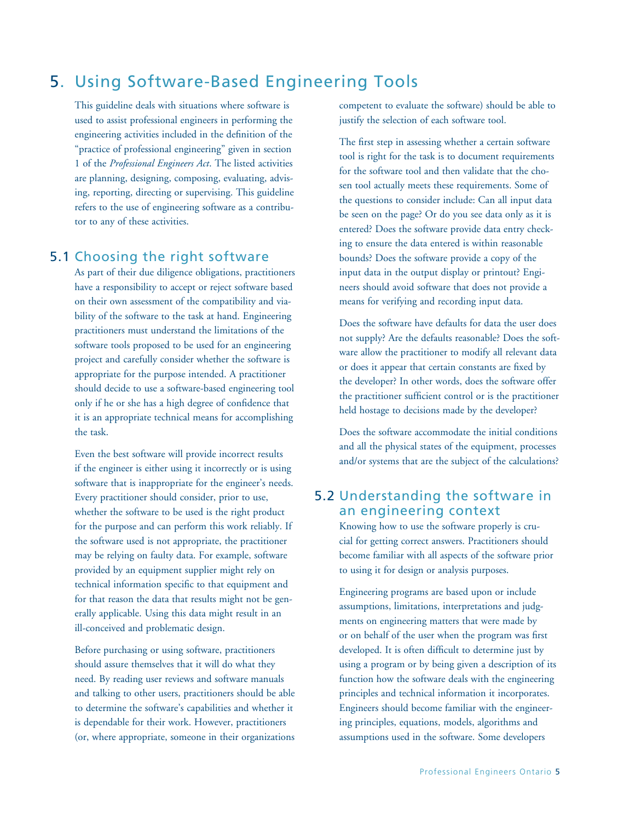## 5. Using Software-Based Engineering Tools

This guideline deals with situations where software is used to assist professional engineers in performing the engineering activities included in the definition of the "practice of professional engineering" given in section 1 of the *Professional Engineers Act*. The listed activities are planning, designing, composing, evaluating, advising, reporting, directing or supervising. This guideline refers to the use of engineering software as a contributor to any of these activities.

### 5.1 Choosing the right software

As part of their due diligence obligations, practitioners have a responsibility to accept or reject software based on their own assessment of the compatibility and viability of the software to the task at hand. Engineering practitioners must understand the limitations of the software tools proposed to be used for an engineering project and carefully consider whether the software is appropriate for the purpose intended. A practitioner should decide to use a software-based engineering tool only if he or she has a high degree of confidence that it is an appropriate technical means for accomplishing the task.

Even the best software will provide incorrect results if the engineer is either using it incorrectly or is using software that is inappropriate for the engineer's needs. Every practitioner should consider, prior to use, whether the software to be used is the right product for the purpose and can perform this work reliably. If the software used is not appropriate, the practitioner may be relying on faulty data. For example, software provided by an equipment supplier might rely on technical information specific to that equipment and for that reason the data that results might not be generally applicable. Using this data might result in an ill-conceived and problematic design.

Before purchasing or using software, practitioners should assure themselves that it will do what they need. By reading user reviews and software manuals and talking to other users, practitioners should be able to determine the software's capabilities and whether it is dependable for their work. However, practitioners (or, where appropriate, someone in their organizations competent to evaluate the software) should be able to justify the selection of each software tool.

The first step in assessing whether a certain software tool is right for the task is to document requirements for the software tool and then validate that the chosen tool actually meets these requirements. Some of the questions to consider include: Can all input data be seen on the page? Or do you see data only as it is entered? Does the software provide data entry checking to ensure the data entered is within reasonable bounds? Does the software provide a copy of the input data in the output display or printout? Engineers should avoid software that does not provide a means for verifying and recording input data.

Does the software have defaults for data the user does not supply? Are the defaults reasonable? Does the software allow the practitioner to modify all relevant data or does it appear that certain constants are fixed by the developer? In other words, does the software offer the practitioner sufficient control or is the practitioner held hostage to decisions made by the developer?

Does the software accommodate the initial conditions and all the physical states of the equipment, processes and/or systems that are the subject of the calculations?

### 5.2 Understanding the software in an engineering context

Knowing how to use the software properly is crucial for getting correct answers. Practitioners should become familiar with all aspects of the software prior to using it for design or analysis purposes.

Engineering programs are based upon or include assumptions, limitations, interpretations and judgments on engineering matters that were made by or on behalf of the user when the program was first developed. It is often difficult to determine just by using a program or by being given a description of its function how the software deals with the engineering principles and technical information it incorporates. Engineers should become familiar with the engineering principles, equations, models, algorithms and assumptions used in the software. Some developers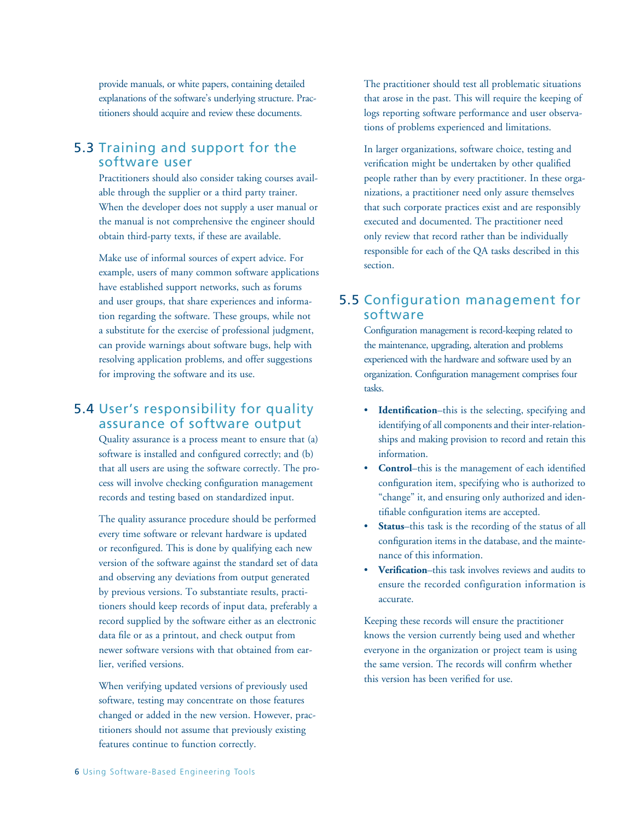provide manuals, or white papers, containing detailed explanations of the software's underlying structure. Practitioners should acquire and review these documents.

### 5.3 Training and support for the software user

Practitioners should also consider taking courses available through the supplier or a third party trainer. When the developer does not supply a user manual or the manual is not comprehensive the engineer should obtain third-party texts, if these are available.

Make use of informal sources of expert advice. For example, users of many common software applications have established support networks, such as forums and user groups, that share experiences and information regarding the software. These groups, while not a substitute for the exercise of professional judgment, can provide warnings about software bugs, help with resolving application problems, and offer suggestions for improving the software and its use.

### 5.4 User's responsibility for quality assurance of software output

Quality assurance is a process meant to ensure that (a) software is installed and configured correctly; and (b) that all users are using the software correctly. The process will involve checking configuration management records and testing based on standardized input.

The quality assurance procedure should be performed every time software or relevant hardware is updated or reconfigured. This is done by qualifying each new version of the software against the standard set of data and observing any deviations from output generated by previous versions. To substantiate results, practitioners should keep records of input data, preferably a record supplied by the software either as an electronic data file or as a printout, and check output from newer software versions with that obtained from earlier, verified versions.

When verifying updated versions of previously used software, testing may concentrate on those features changed or added in the new version. However, practitioners should not assume that previously existing features continue to function correctly.

The practitioner should test all problematic situations that arose in the past. This will require the keeping of logs reporting software performance and user observations of problems experienced and limitations.

In larger organizations, software choice, testing and verification might be undertaken by other qualified people rather than by every practitioner. In these organizations, a practitioner need only assure themselves that such corporate practices exist and are responsibly executed and documented. The practitioner need only review that record rather than be individually responsible for each of the QA tasks described in this section.

### 5.5 Configuration management for software

Configuration management is record-keeping related to the maintenance, upgrading, alteration and problems experienced with the hardware and software used by an organization. Configuration management comprises four tasks.

- • **Identification**–this is the selecting, specifying and identifying of all components and their inter-relationships and making provision to record and retain this information.
- **Control**–this is the management of each identified configuration item, specifying who is authorized to "change" it, and ensuring only authorized and identifiable configuration items are accepted.
- **Status**–this task is the recording of the status of all configuration items in the database, and the maintenance of this information.
- **Verification–this task involves reviews and audits to** ensure the recorded configuration information is accurate.

Keeping these records will ensure the practitioner knows the version currently being used and whether everyone in the organization or project team is using the same version. The records will confirm whether this version has been verified for use.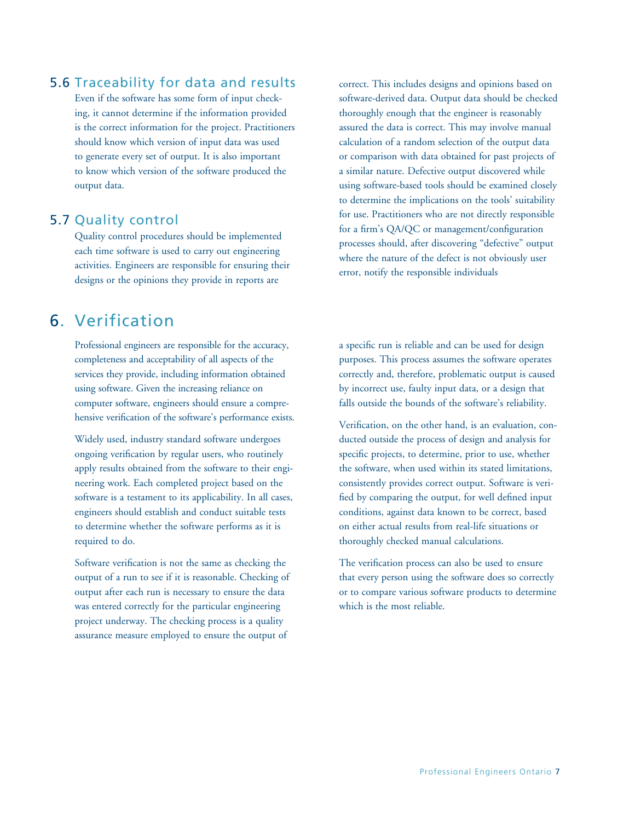#### 5.6 Traceability for data and results

Even if the software has some form of input checking, it cannot determine if the information provided is the correct information for the project. Practitioners should know which version of input data was used to generate every set of output. It is also important to know which version of the software produced the output data.

### 5.7 Quality control

Quality control procedures should be implemented each time software is used to carry out engineering activities. Engineers are responsible for ensuring their designs or the opinions they provide in reports are

### 6. Verification

Professional engineers are responsible for the accuracy, completeness and acceptability of all aspects of the services they provide, including information obtained using software. Given the increasing reliance on computer software, engineers should ensure a comprehensive verification of the software's performance exists.

Widely used, industry standard software undergoes ongoing verification by regular users, who routinely apply results obtained from the software to their engineering work. Each completed project based on the software is a testament to its applicability. In all cases, engineers should establish and conduct suitable tests to determine whether the software performs as it is required to do.

Software verification is not the same as checking the output of a run to see if it is reasonable. Checking of output after each run is necessary to ensure the data was entered correctly for the particular engineering project underway. The checking process is a quality assurance measure employed to ensure the output of

correct. This includes designs and opinions based on software-derived data. Output data should be checked thoroughly enough that the engineer is reasonably assured the data is correct. This may involve manual calculation of a random selection of the output data or comparison with data obtained for past projects of a similar nature. Defective output discovered while using software-based tools should be examined closely to determine the implications on the tools' suitability for use. Practitioners who are not directly responsible for a firm's QA/QC or management/configuration processes should, after discovering "defective" output where the nature of the defect is not obviously user error, notify the responsible individuals

a specific run is reliable and can be used for design purposes. This process assumes the software operates correctly and, therefore, problematic output is caused by incorrect use, faulty input data, or a design that falls outside the bounds of the software's reliability.

Verification, on the other hand, is an evaluation, conducted outside the process of design and analysis for specific projects, to determine, prior to use, whether the software, when used within its stated limitations, consistently provides correct output. Software is verified by comparing the output, for well defined input conditions, against data known to be correct, based on either actual results from real-life situations or thoroughly checked manual calculations.

The verification process can also be used to ensure that every person using the software does so correctly or to compare various software products to determine which is the most reliable.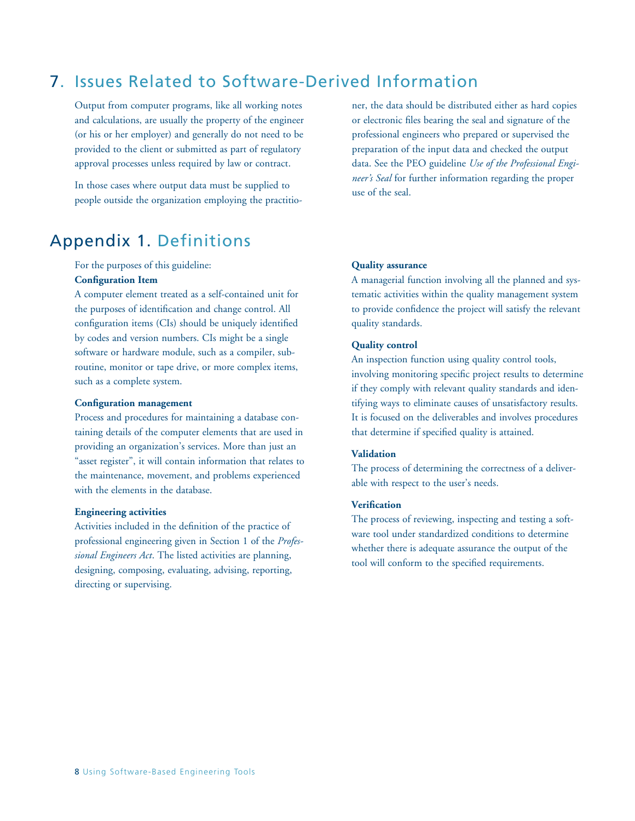## 7. Issues Related to Software-Derived Information

Output from computer programs, like all working notes and calculations, are usually the property of the engineer (or his or her employer) and generally do not need to be provided to the client or submitted as part of regulatory approval processes unless required by law or contract.

In those cases where output data must be supplied to people outside the organization employing the practitio-

### Appendix 1. Definitions

For the purposes of this guideline: **Configuration Item**

A computer element treated as a self-contained unit for the purposes of identification and change control. All configuration items (CIs) should be uniquely identified by codes and version numbers. CIs might be a single software or hardware module, such as a compiler, subroutine, monitor or tape drive, or more complex items, such as a complete system.

#### **Configuration management**

Process and procedures for maintaining a database containing details of the computer elements that are used in providing an organization's services. More than just an "asset register", it will contain information that relates to the maintenance, movement, and problems experienced with the elements in the database.

#### **Engineering activities**

Activities included in the definition of the practice of professional engineering given in Section 1 of the *Professional Engineers Act*. The listed activities are planning, designing, composing, evaluating, advising, reporting, directing or supervising.

ner, the data should be distributed either as hard copies or electronic files bearing the seal and signature of the professional engineers who prepared or supervised the preparation of the input data and checked the output data. See the PEO guideline *Use of the Professional Engineer's Seal* for further information regarding the proper use of the seal.

#### **Quality assurance**

A managerial function involving all the planned and systematic activities within the quality management system to provide confidence the project will satisfy the relevant quality standards.

#### **Quality control**

An inspection function using quality control tools, involving monitoring specific project results to determine if they comply with relevant quality standards and identifying ways to eliminate causes of unsatisfactory results. It is focused on the deliverables and involves procedures that determine if specified quality is attained.

#### **Validation**

The process of determining the correctness of a deliverable with respect to the user's needs.

#### **Verification**

The process of reviewing, inspecting and testing a software tool under standardized conditions to determine whether there is adequate assurance the output of the tool will conform to the specified requirements.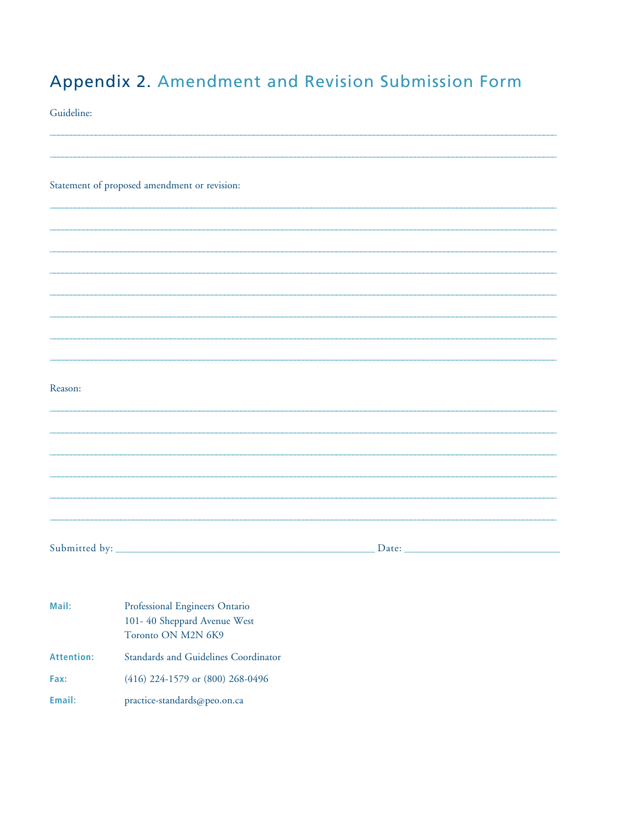# Appendix 2. Amendment and Revision Submission Form

Guideline:

|                   | Statement of proposed amendment or revision:                                        |  |
|-------------------|-------------------------------------------------------------------------------------|--|
|                   |                                                                                     |  |
|                   |                                                                                     |  |
|                   |                                                                                     |  |
|                   |                                                                                     |  |
|                   |                                                                                     |  |
|                   |                                                                                     |  |
|                   |                                                                                     |  |
|                   |                                                                                     |  |
| Reason:           |                                                                                     |  |
|                   |                                                                                     |  |
|                   |                                                                                     |  |
|                   |                                                                                     |  |
|                   |                                                                                     |  |
|                   |                                                                                     |  |
|                   |                                                                                     |  |
|                   |                                                                                     |  |
|                   |                                                                                     |  |
|                   |                                                                                     |  |
| Mail:             | Professional Engineers Ontario<br>101-40 Sheppard Avenue West<br>Toronto ON M2N 6K9 |  |
| <b>Attention:</b> | Standards and Guidelines Coordinator                                                |  |
| Fax:              | (416) 224-1579 or (800) 268-0496                                                    |  |
| Email:            | practice-standards@peo.on.ca                                                        |  |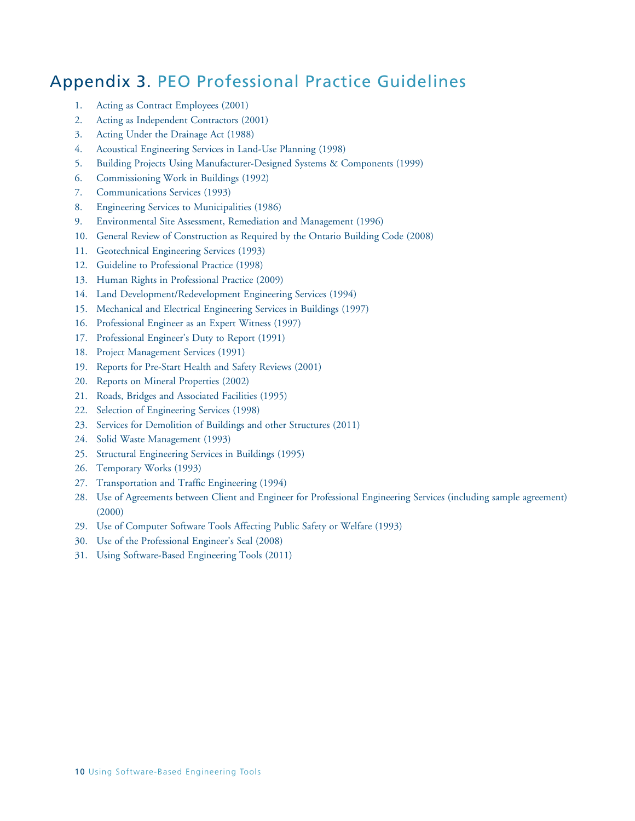## Appendix 3. PEO Professional Practice Guidelines

- 1. Acting as Contract Employees (2001)
- 2. Acting as Independent Contractors (2001)
- 3. Acting Under the Drainage Act (1988)
- 4. Acoustical Engineering Services in Land-Use Planning (1998)
- 5. Building Projects Using Manufacturer-Designed Systems & Components (1999)
- 6. Commissioning Work in Buildings (1992)
- 7. Communications Services (1993)
- 8. Engineering Services to Municipalities (1986)
- 9. Environmental Site Assessment, Remediation and Management (1996)
- 10. General Review of Construction as Required by the Ontario Building Code (2008)
- 11. Geotechnical Engineering Services (1993)
- 12. Guideline to Professional Practice (1998)
- 13. Human Rights in Professional Practice (2009)
- 14. Land Development/Redevelopment Engineering Services (1994)
- 15. Mechanical and Electrical Engineering Services in Buildings (1997)
- 16. Professional Engineer as an Expert Witness (1997)
- 17. Professional Engineer's Duty to Report (1991)
- 18. Project Management Services (1991)
- 19. Reports for Pre-Start Health and Safety Reviews (2001)
- 20. Reports on Mineral Properties (2002)
- 21. Roads, Bridges and Associated Facilities (1995)
- 22. Selection of Engineering Services (1998)
- 23. Services for Demolition of Buildings and other Structures (2011)
- 24. Solid Waste Management (1993)
- 25. Structural Engineering Services in Buildings (1995)
- 26. Temporary Works (1993)
- 27. Transportation and Traffic Engineering (1994)
- 28. Use of Agreements between Client and Engineer for Professional Engineering Services (including sample agreement) (2000)
- 29. Use of Computer Software Tools Affecting Public Safety or Welfare (1993)
- 30. Use of the Professional Engineer's Seal (2008)
- 31. Using Software-Based Engineering Tools (2011)